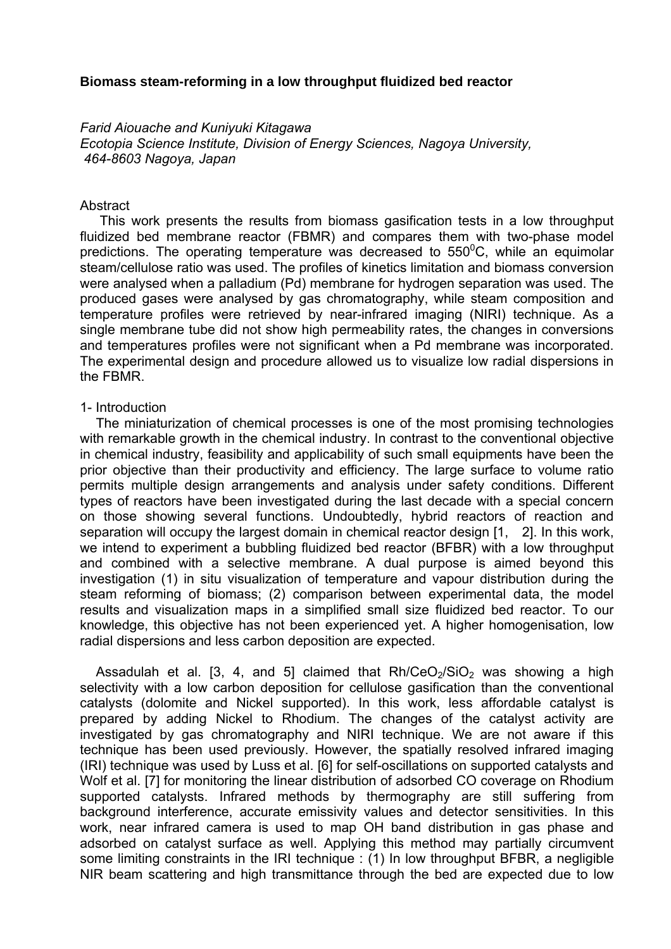## **Biomass steam-reforming in a low throughput fluidized bed reactor**

*Farid Aiouache and Kuniyuki Kitagawa* 

*Ecotopia Science Institute, Division of Energy Sciences, Nagoya University, 464-8603 Nagoya, Japan*

### **Abstract**

 This work presents the results from biomass gasification tests in a low throughput fluidized bed membrane reactor (FBMR) and compares them with two-phase model predictions. The operating temperature was decreased to 550 $\mathrm{^0C}$ , while an equimolar steam/cellulose ratio was used. The profiles of kinetics limitation and biomass conversion were analysed when a palladium (Pd) membrane for hydrogen separation was used. The produced gases were analysed by gas chromatography, while steam composition and temperature profiles were retrieved by near-infrared imaging (NIRI) technique. As a single membrane tube did not show high permeability rates, the changes in conversions and temperatures profiles were not significant when a Pd membrane was incorporated. The experimental design and procedure allowed us to visualize low radial dispersions in the FBMR.

#### 1- Introduction

 The miniaturization of chemical processes is one of the most promising technologies with remarkable growth in the chemical industry. In contrast to the conventional objective in chemical industry, feasibility and applicability of such small equipments have been the prior objective than their productivity and efficiency. The large surface to volume ratio permits multiple design arrangements and analysis under safety conditions. Different types of reactors have been investigated during the last decade with a special concern on those showing several functions. Undoubtedly, hybrid reactors of reaction and separation will occupy the largest domain in chemical reactor design [1, 2]. In this work, we intend to experiment a bubbling fluidized bed reactor (BFBR) with a low throughput and combined with a selective membrane. A dual purpose is aimed beyond this investigation (1) in situ visualization of temperature and vapour distribution during the steam reforming of biomass; (2) comparison between experimental data, the model results and visualization maps in a simplified small size fluidized bed reactor. To our knowledge, this objective has not been experienced yet. A higher homogenisation, low radial dispersions and less carbon deposition are expected.

Assadulah et al. [3, 4, and 5] claimed that  $Rh/CeO<sub>2</sub>/SiO<sub>2</sub>$  was showing a high selectivity with a low carbon deposition for cellulose gasification than the conventional catalysts (dolomite and Nickel supported). In this work, less affordable catalyst is prepared by adding Nickel to Rhodium. The changes of the catalyst activity are investigated by gas chromatography and NIRI technique. We are not aware if this technique has been used previously. However, the spatially resolved infrared imaging (IRI) technique was used by Luss et al. [6] for self-oscillations on supported catalysts and Wolf et al. [7] for monitoring the linear distribution of adsorbed CO coverage on Rhodium supported catalysts. Infrared methods by thermography are still suffering from background interference, accurate emissivity values and detector sensitivities. In this work, near infrared camera is used to map OH band distribution in gas phase and adsorbed on catalyst surface as well. Applying this method may partially circumvent some limiting constraints in the IRI technique : (1) In low throughput BFBR, a negligible NIR beam scattering and high transmittance through the bed are expected due to low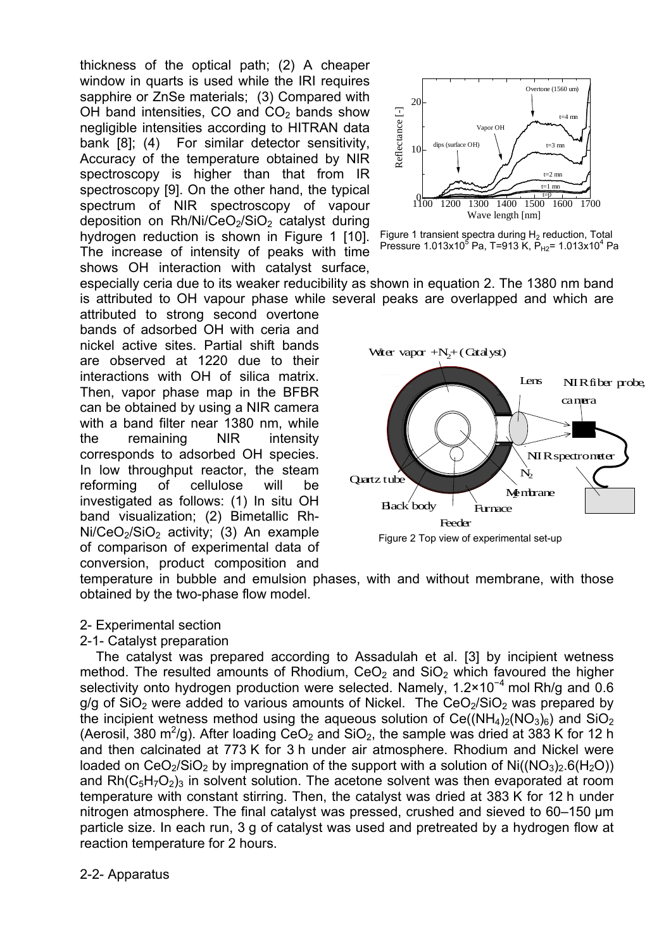thickness of the optical path; (2) A cheaper window in quarts is used while the IRI requires sapphire or ZnSe materials; (3) Compared with OH band intensities, CO and  $CO<sub>2</sub>$  bands show negligible intensities according to HITRAN data bank [8]; (4) For similar detector sensitivity, Accuracy of the temperature obtained by NIR spectroscopy is higher than that from IR spectroscopy [9]. On the other hand, the typical spectrum of NIR spectroscopy of vapour deposition on Rh/Ni/CeO<sub>2</sub>/SiO<sub>2</sub> catalyst during hydrogen reduction is shown in Figure 1 [10]. The increase of intensity of peaks with time shows OH interaction with catalyst surface,

especially ceria due to its weaker reducibility as shown in equation 2. The 1380 nm band is attributed to OH vapour phase while several peaks are overlapped and which are attributed to strong second overtone bands of adsorbed OH with ceria and nickel active sites. Partial shift bands are observed at 1220 due to their interactions with OH of silica matrix. Then, vapor phase map in the BFBR can be obtained by using a NIR camera with a band filter near 1380 nm, while the remaining NIR intensity corresponds to adsorbed OH species. In low throughput reactor, the steam reforming of cellulose will be investigated as follows: (1) In situ OH band visualization; (2) Bimetallic Rh- $Ni/CeO<sub>2</sub>/SiO<sub>2</sub>$  activity; (3) An example of comparison of experimental data of conversion, product composition and



Figure 1 transient spectra during  $H_2$  reduction, Total Pressure 1.013x10<sup>5</sup> Pa, T=913 K, P<sub>H2</sub>= 1.013x10<sup>4</sup> Pa

 Figure 2 Top view of experimental set-up Water vapor  $+N_2+(C \text{at alyst})$ Quartz tube  $Back$  body  $\overline{\phantom{a}}$  Furnace Ng ntrane Lens **NIRfiber probe** camera **NIR** spectrometer  $\mathbf{N}_2$ Feeder

temperature in bubble and emulsion phases, with and without membrane, with those obtained by the two-phase flow model.

## 2- Experimental section

## 2-1- Catalyst preparation

The catalyst was prepared according to Assadulah et al. [3] by incipient wetness method. The resulted amounts of Rhodium,  $CeO<sub>2</sub>$  and  $SiO<sub>2</sub>$  which favoured the higher selectivity onto hydrogen production were selected. Namely, 1.2×10<sup>-4</sup> mol Rh/g and 0.6  $g/g$  of SiO<sub>2</sub> were added to various amounts of Nickel. The CeO<sub>2</sub>/SiO<sub>2</sub> was prepared by the incipient wetness method using the aqueous solution of  $Ce((NH<sub>4</sub>)<sub>2</sub>(NO<sub>3</sub>)<sub>6</sub>)$  and  $SiO<sub>2</sub>$ (Aerosil, 380 m<sup>2</sup>/g). After loading CeO<sub>2</sub> and SiO<sub>2</sub>, the sample was dried at 383 K for 12 h and then calcinated at 773 K for 3 h under air atmosphere. Rhodium and Nickel were loaded on  $CeO<sub>2</sub>/SiO<sub>2</sub>$  by impregnation of the support with a solution of Ni( $(NO<sub>3</sub>)<sub>2</sub> G(H<sub>2</sub>O)$ ) and  $Rh(C_5H_7O_2)_3$  in solvent solution. The acetone solvent was then evaporated at room temperature with constant stirring. Then, the catalyst was dried at 383 K for 12 h under nitrogen atmosphere. The final catalyst was pressed, crushed and sieved to 60–150 µm particle size. In each run, 3 g of catalyst was used and pretreated by a hydrogen flow at reaction temperature for 2 hours.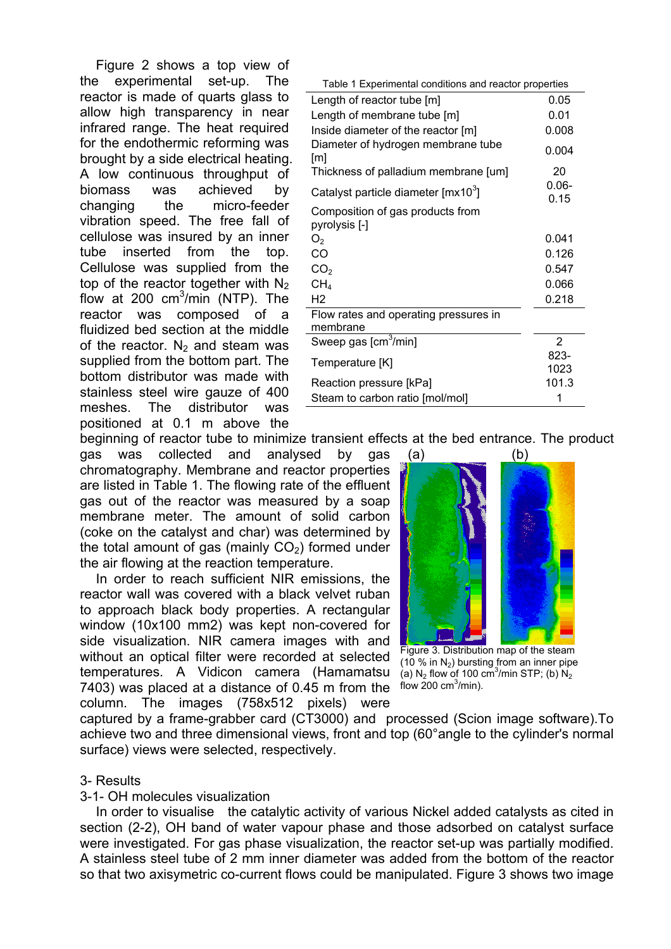Figure 2 shows a top view of the experimental set-up. The reactor is made of quarts glass to allow high transparency in near infrared range. The heat required for the endothermic reforming was brought by a side electrical heating. A low continuous throughput of biomass was achieved by changing the micro-feeder vibration speed. The free fall of cellulose was insured by an inner tube inserted from the top. Cellulose was supplied from the top of the reactor together with  $N_2$ flow at 200 cm $3$ /min (NTP). The reactor was composed of a fluidized bed section at the middle of the reactor.  $N_2$  and steam was supplied from the bottom part. The bottom distributor was made with stainless steel wire gauze of 400 meshes. The distributor was positioned at 0.1 m above the

| Table 1 Experimental conditions and reactor properties |                  |  |
|--------------------------------------------------------|------------------|--|
| Length of reactor tube [m]                             | 0.05             |  |
| Length of membrane tube [m]                            | 0.01             |  |
| Inside diameter of the reactor [m]                     | 0.008            |  |
| Diameter of hydrogen membrane tube<br>[m]              | 0.004            |  |
| Thickness of palladium membrane [um]                   | 20               |  |
| Catalyst particle diameter [mx10 <sup>3</sup> ]        | $0.06 -$<br>0.15 |  |
| Composition of gas products from<br>pyrolysis [-]      |                  |  |
| O <sub>2</sub>                                         | 0.041            |  |
| CO                                                     | 0.126            |  |
| CO <sub>2</sub>                                        | 0.547            |  |
| CH <sub>4</sub>                                        | 0.066            |  |
| H <sub>2</sub>                                         | 0.218            |  |
| Flow rates and operating pressures in<br>membrane      |                  |  |
| Sweep gas [cm <sup>3</sup> /min]                       | $\overline{2}$   |  |
| Temperature [K]                                        | 823-<br>1023     |  |
| Reaction pressure [kPa]                                | 101.3            |  |
| Steam to carbon ratio [mol/mol]                        | 1                |  |

beginning of reactor tube to minimize transient effects at the bed entrance. The product

gas was collected and analysed by gas chromatography. Membrane and reactor properties are listed in Table 1. The flowing rate of the effluent gas out of the reactor was measured by a soap membrane meter. The amount of solid carbon (coke on the catalyst and char) was determined by the total amount of gas (mainly  $CO<sub>2</sub>$ ) formed under the air flowing at the reaction temperature.

In order to reach sufficient NIR emissions, the reactor wall was covered with a black velvet ruban to approach black body properties. A rectangular window (10x100 mm2) was kept non-covered for side visualization. NIR camera images with and without an optical filter were recorded at selected temperatures. A Vidicon camera (Hamamatsu 7403) was placed at a distance of 0.45 m from the  $f_{\text{flow}}$  200 cm<sup>3</sup>/min). column. The images (758x512 pixels) were



 Figure 3. Distribution map of the steam (10 % in  $N_2$ ) bursting from an inner pipe (a) N<sub>2</sub> flow of 100 cm<sup>3</sup>/min STP; (b) N<sub>2</sub>

captured by a frame-grabber card (CT3000) and processed (Scion image software).To achieve two and three dimensional views, front and top (60°angle to the cylinder's normal surface) views were selected, respectively.

## 3- Results

## 3-1- OH molecules visualization

In order to visualise the catalytic activity of various Nickel added catalysts as cited in section (2-2), OH band of water vapour phase and those adsorbed on catalyst surface were investigated. For gas phase visualization, the reactor set-up was partially modified. A stainless steel tube of 2 mm inner diameter was added from the bottom of the reactor so that two axisymetric co-current flows could be manipulated. Figure 3 shows two image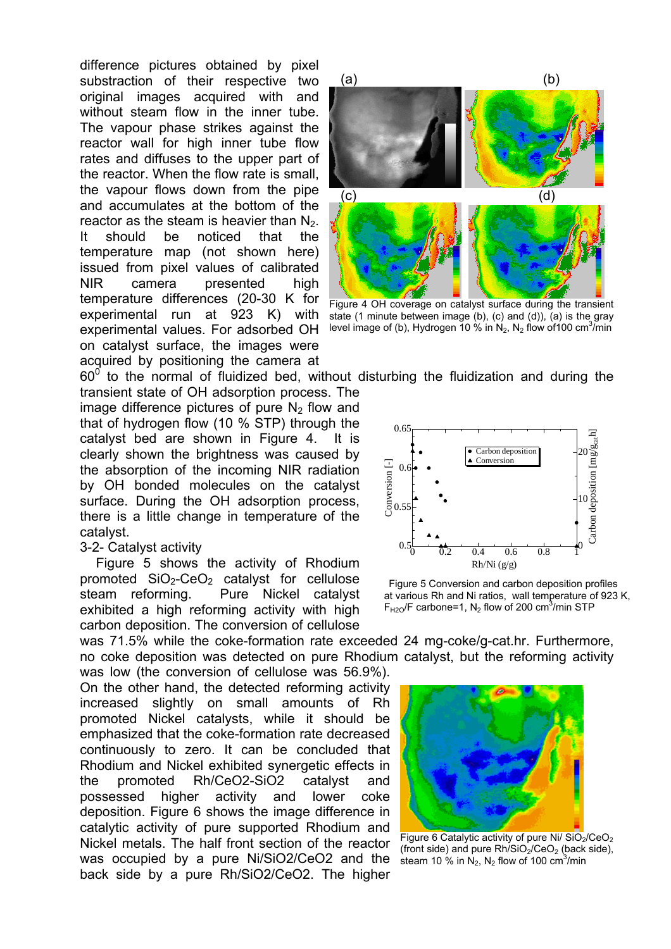difference pictures obtained by pixel substraction of their respective two original images acquired with and without steam flow in the inner tube. The vapour phase strikes against the reactor wall for high inner tube flow rates and diffuses to the upper part of the reactor. When the flow rate is small, the vapour flows down from the pipe and accumulates at the bottom of the reactor as the steam is heavier than  $N<sub>2</sub>$ . It should be noticed that the temperature map (not shown here) issued from pixel values of calibrated NIR camera presented high temperature differences (20-30 K for experimental run at 923 K) with experimental values. For adsorbed OH on catalyst surface, the images were acquired by positioning the camera at



 Figure 4 OH coverage on catalyst surface during the transient state (1 minute between image (b), (c) and (d)), (a) is the gray level image of (b), Hydrogen 10 % in  $N_2$ ,  $N_2$  flow of 100 cm<sup>3</sup>/min

 $60^{\circ}$  to the normal of fluidized bed, without disturbing the fluidization and during the

transient state of OH adsorption process. The image difference pictures of pure  $N<sub>2</sub>$  flow and that of hydrogen flow (10 % STP) through the catalyst bed are shown in Figure 4. It is clearly shown the brightness was caused by the absorption of the incoming NIR radiation by OH bonded molecules on the catalyst surface. During the OH adsorption process, there is a little change in temperature of the catalyst.

## 3-2- Catalyst activity

Figure 5 shows the activity of Rhodium promoted  $SiO<sub>2</sub>-CeO<sub>2</sub>$  catalyst for cellulose steam reforming. Pure Nickel catalyst exhibited a high reforming activity with high carbon deposition. The conversion of cellulose

was 71.5% while the coke-formation rate exceeded 24 mg-coke/g-cat.hr. Furthermore, no coke deposition was detected on pure Rhodium catalyst, but the reforming activity

was low (the conversion of cellulose was 56.9%). On the other hand, the detected reforming activity increased slightly on small amounts of Rh promoted Nickel catalysts, while it should be emphasized that the coke-formation rate decreased continuously to zero. It can be concluded that Rhodium and Nickel exhibited synergetic effects in the promoted Rh/CeO2-SiO2 catalyst and possessed higher activity and lower coke deposition. Figure 6 shows the image difference in catalytic activity of pure supported Rhodium and Nickel metals. The half front section of the reactor was occupied by a pure Ni/SiO2/CeO2 and the back side by a pure Rh/SiO2/CeO2. The higher



 Figure 5 Conversion and carbon deposition profiles at various Rh and Ni ratios, wall temperature of 923 K,  $F_{H2O}$ /F carbone=1, N<sub>2</sub> flow of 200 cm<sup>3</sup>/min STP



Figure 6 Catalytic activity of pure Ni/ $SiO<sub>2</sub>/CeO<sub>2</sub>$ (front side) and pure  $Rh/SiO<sub>2</sub>/CeO<sub>2</sub>$  (back side), steam 10  $\%$  in N<sub>2</sub>, N<sub>2</sub> flow of 100 cm<sup>3</sup>/min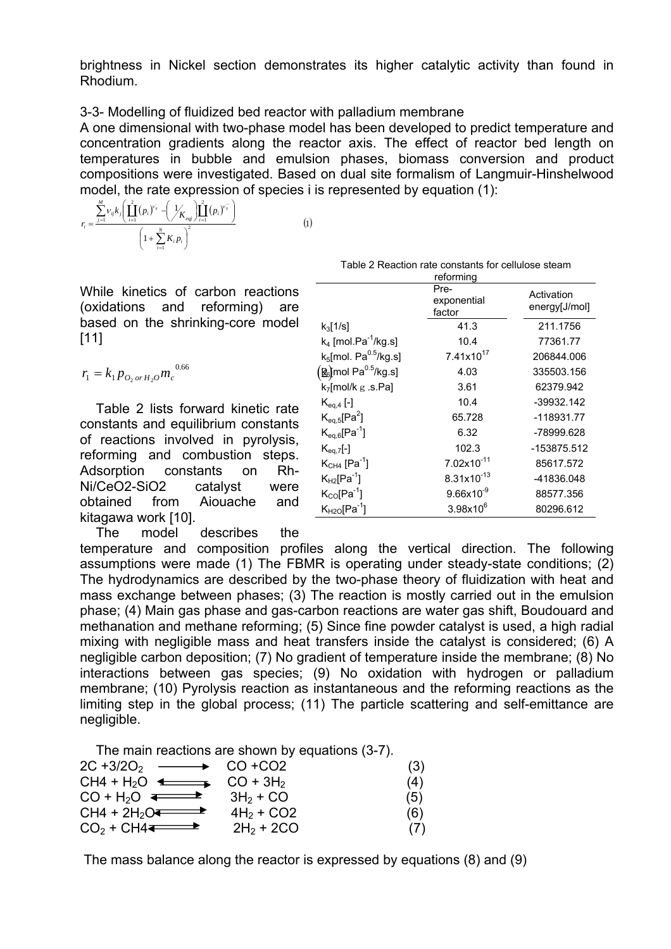brightness in Nickel section demonstrates its higher catalytic activity than found in Rhodium.

# 3-3- Modelling of fluidized bed reactor with palladium membrane

A one dimensional with two-phase model has been developed to predict temperature and concentration gradients along the reactor axis. The effect of reactor bed length on temperatures in bubble and emulsion phases, biomass conversion and product compositions were investigated. Based on dual site formalism of Langmuir-Hinshelwood model, the rate expression of species i is represented by equation (1):

$$
r_{i} = \frac{\sum_{j=1}^{M} \nu_{ij} k_{j} \left( \prod_{i=1}^{2} (p_{i})^{\nu_{ij}} - \left( \frac{1}{K_{eq}} \right) \prod_{i=1}^{2} (p_{i})^{\nu_{ij}^{-}} \right)}{\left( 1 + \sum_{i=1}^{N} K_{i} p_{i} \right)^{2}}
$$

 $(1)$ 

While kinetics of carbon reactions (oxidations and reforming) are based on the shrinking-core model [11]

$$
r_1 = k_1 p_{O_2 \text{ or } H_2O} m_c^{0.6}
$$

Table 2 lists forward kinetic rate constants and equilibrium constants of reactions involved in pyrolysis, reforming and combustion steps. Adsorption constants on Rh-Ni/CeO2-SiO2 catalyst were obtained from Aiouache and kitagawa work [10].

The model describes the

Table 2 Reaction rate constants for cellulose steam

|                                                                                                                                                                       |                                                                          | reforming                     |                             |
|-----------------------------------------------------------------------------------------------------------------------------------------------------------------------|--------------------------------------------------------------------------|-------------------------------|-----------------------------|
| of carbon reactions<br>reforming)<br>۱d<br>are                                                                                                                        |                                                                          | Pre-<br>exponential<br>factor | Activation<br>energy[J/mol] |
| hrinking-core model<br>0.66                                                                                                                                           | $k_3$ [1/s]                                                              | 41.3                          | 211.1756                    |
|                                                                                                                                                                       | $k_4$ [mol.Pa <sup>-1</sup> /kg.s]                                       | 10.4                          | 77361.77                    |
|                                                                                                                                                                       | $k_5$ [mol. Pa $^{0.5}$ /kg.s]                                           | 7.41x10 <sup>17</sup>         | 206844.006                  |
|                                                                                                                                                                       | $\left[\underline{\mathbf{\mathcal{R}}}_6\right]$ mol Pa $^{0.5}$ /kg.s] | 4.03                          | 335503.156                  |
|                                                                                                                                                                       | $k_7$ [mol/k g .s.Pa]                                                    | 3.61                          | 62379.942                   |
| forward kinetic rate<br>equilibrium constants<br>volved in pyrolysis,<br>combustion<br>steps.<br>งnstants<br>Rh-<br>on<br>catalyst<br>were<br>Aiouache<br>and<br>101. | $K_{eq,4}$ [-]                                                           | 10.4                          | $-39932.142$                |
|                                                                                                                                                                       | $K_{eq,5}[Pa^2]$                                                         | 65.728                        | $-118931.77$                |
|                                                                                                                                                                       | $K_{eq,6}[Pa^{-1}]$                                                      | 6.32                          | -78999.628                  |
|                                                                                                                                                                       | $K_{eq,7}[-]$                                                            | 102.3                         | -153875.512                 |
|                                                                                                                                                                       | $K_{CH4}$ [Pa <sup>-1</sup> ]                                            | $7.02 \times 10^{-11}$        | 85617.572                   |
|                                                                                                                                                                       | $K_{H2}[Pa^{-1}]$                                                        | $8.31x10^{-13}$               | -41836.048                  |
|                                                                                                                                                                       | $K_{CO}[Pa^{-1}]$                                                        | $9.66x10^{-9}$                | 88577.356                   |
|                                                                                                                                                                       | $K_{H2O}[Pa^{-1}]$                                                       | $3.98x10^{6}$                 | 80296.612                   |
|                                                                                                                                                                       |                                                                          |                               |                             |

temperature and composition profiles along the vertical direction. The following assumptions were made (1) The FBMR is operating under steady-state conditions; (2) The hydrodynamics are described by the two-phase theory of fluidization with heat and mass exchange between phases; (3) The reaction is mostly carried out in the emulsion phase; (4) Main gas phase and gas-carbon reactions are water gas shift, Boudouard and methanation and methane reforming; (5) Since fine powder catalyst is used, a high radial mixing with negligible mass and heat transfers inside the catalyst is considered; (6) A negligible carbon deposition; (7) No gradient of temperature inside the membrane; (8) No interactions between gas species; (9) No oxidation with hydrogen or palladium membrane; (10) Pyrolysis reaction as instantaneous and the reforming reactions as the limiting step in the global process; (11) The particle scattering and self-emittance are negligible.

The main reactions are shown by equations (3-7).

| $2C + 3/2O_2 \longrightarrow CO + CO2$          |              | (3) |
|-------------------------------------------------|--------------|-----|
| $CH4 + H2O \leftarrow \longrightarrow CO + 3H2$ |              | (4) |
| $CO + H2O \rightleftharpoons$                   | $3H_2 + CO$  | (5) |
| $CH4 + 2H_2O$                                   | $4H_2 + CO2$ | (6) |
| $CO2 + CH4 \rightarrow$                         | $2H_2 + 2CO$ |     |

The mass balance along the reactor is expressed by equations (8) and (9)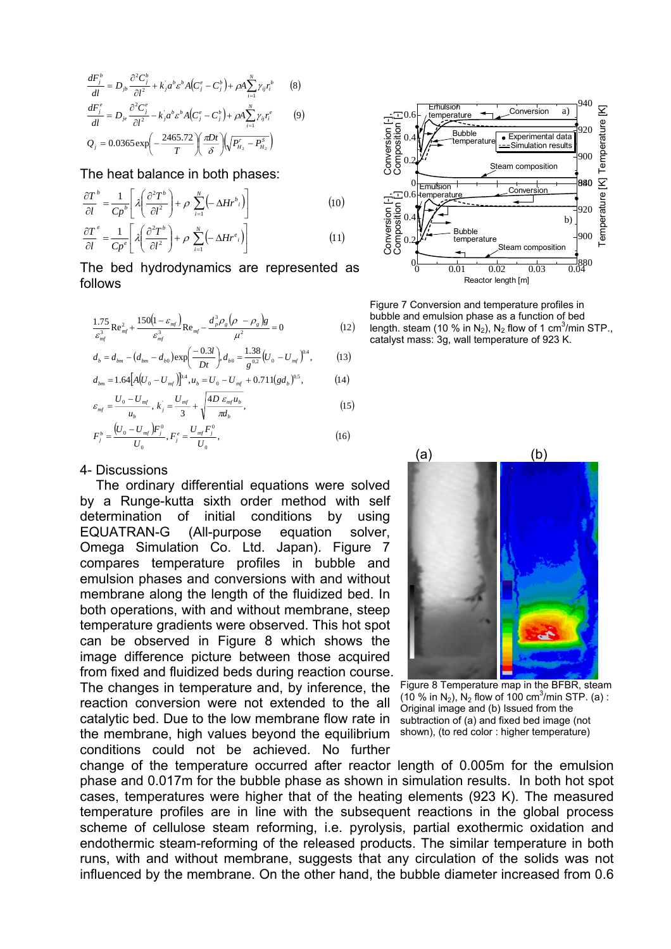$$
\frac{dF_j^b}{dl} = D_{jb} \frac{\partial^2 C_j^b}{\partial l^2} + k_j a^b \varepsilon^b A (C_j^e - C_j^b) + \rho A \sum_{i=1}^N \gamma_{ij} r_i^b
$$
 (8)  

$$
\frac{dF_j^e}{dl} = D_{je} \frac{\partial^2 C_j^e}{\partial l^2} - k_j a^b \varepsilon^b A (C_j^e - C_j^b) + \rho A \sum_{i=1}^N \gamma_{ij} r_i^e
$$
 (9)  

$$
Q_j = 0.0365 \exp \left(-\frac{2465.72}{T}\right) \left(\frac{\pi Dt}{\delta}\right) \left(\sqrt{P_{H_2}^r - P_{H_2}^s}\right)
$$

The heat balance in both phases:

$$
\frac{\partial T}{\partial l}^b = \frac{1}{Cp^b} \left[ \lambda \left( \frac{\partial^2 T^b}{\partial l^2} \right) + \rho \sum_{i=1}^N \left( -\Delta H r^b_i \right) \right]
$$
(10)

$$
\frac{\partial T}{\partial l}^e = \frac{1}{C p^e} \left[ \lambda \left( \frac{\partial^2 T^b}{\partial l^2} \right) + \rho \sum_{i=1}^N \left( -\Delta H r^e_i \right) \right] \tag{11}
$$

The bed hydrodynamics are represented as follows

$$
\frac{1.75}{\varepsilon_{mf}^{3}} \text{Re}_{mf}^{2} + \frac{150 \left(1 - \varepsilon_{mf}\right)}{\varepsilon_{mf}^{3}} \text{Re}_{mf} - \frac{d_{p}^{3} \rho_{g} \left(\rho - \rho_{g}\right) g}{\mu^{2}} = 0 \tag{12}
$$

$$
d_b = d_{bm} - (d_{bm} - d_{b0}) \exp\left(\frac{-0.3l}{Dt}\right), d_{b0} = \frac{1.38}{g^{0.2}} \left(U_0 - U_{mf}\right)^{0.4},
$$
 (13)

$$
d_{bm} = 1.64 \Big[ A (U_0 - U_{mf}) \Big]^{0.4}, u_b = U_0 - U_{mf} + 0.711 (gd_b)^{0.5}, \tag{14}
$$

$$
\varepsilon_{mf} = \frac{U_0 - U_{mf}}{u_b}, \ k_j = \frac{U_{mf}}{3} + \sqrt{\frac{4D \varepsilon_{mf} u_b}{\pi d_b}},
$$
\n(15)

$$
F_j^b = \frac{(U_0 - U_{mf})F_j^0}{U_0}, F_j^e = \frac{U_{mf}F_j^0}{U_0},
$$
\n(16)

### 4- Discussions

The ordinary differential equations were solved by a Runge-kutta sixth order method with self determination of initial conditions by using EQUATRAN-G (All-purpose equation solver, Omega Simulation Co. Ltd. Japan). Figure 7 compares temperature profiles in bubble and emulsion phases and conversions with and without membrane along the length of the fluidized bed. In both operations, with and without membrane, steep temperature gradients were observed. This hot spot can be observed in Figure 8 which shows the image difference picture between those acquired from fixed and fluidized beds during reaction course. The changes in temperature and, by inference, the reaction conversion were not extended to the all catalytic bed. Due to the low membrane flow rate in the membrane, high values beyond the equilibrium shown), (to red color : higher temperature) conditions could not be achieved. No further



Figure 7 Conversion and temperature profiles in bubble and emulsion phase as a function of bed length. steam (10 % in N<sub>2</sub>), N<sub>2</sub> flow of 1 cm<sup>3</sup>/min STP., catalyst mass: 3g, wall temperature of 923 K.



(10 % in N<sub>2</sub>), N<sub>2</sub> flow of 100 cm<sup>3</sup>/min STP. (a) : Original image and (b) Issued from the subtraction of (a) and fixed bed image (not

change of the temperature occurred after reactor length of 0.005m for the emulsion phase and 0.017m for the bubble phase as shown in simulation results. In both hot spot cases, temperatures were higher that of the heating elements (923 K). The measured temperature profiles are in line with the subsequent reactions in the global process scheme of cellulose steam reforming, i.e. pyrolysis, partial exothermic oxidation and endothermic steam-reforming of the released products. The similar temperature in both runs, with and without membrane, suggests that any circulation of the solids was not influenced by the membrane. On the other hand, the bubble diameter increased from 0.6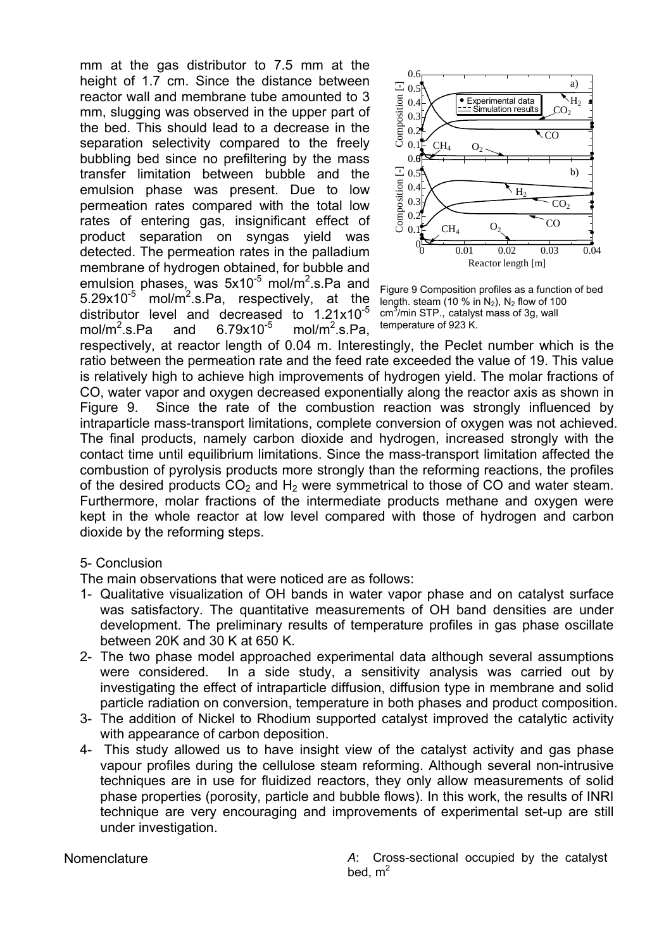mm at the gas distributor to 7.5 mm at the height of 1.7 cm. Since the distance between reactor wall and membrane tube amounted to 3 mm, slugging was observed in the upper part of the bed. This should lead to a decrease in the separation selectivity compared to the freely bubbling bed since no prefiltering by the mass transfer limitation between bubble and the emulsion phase was present. Due to low permeation rates compared with the total low rates of entering gas, insignificant effect of product separation on syngas yield was detected. The permeation rates in the palladium membrane of hydrogen obtained, for bubble and emulsion phases, was 5x10<sup>-5</sup> mol/m<sup>2</sup>.s.Pa and 5.29x10<sup>-5</sup> mol/m<sup>2</sup>.s.Pa, respectively, at the distributor level and decreased to 1.21x10<sup>-5</sup> mol/m<sup>2</sup>.s.Pa and 6.79 $x10^{-5}$ mol/m<sup>2</sup>.s.Pa.



Figure 9 Composition profiles as a function of bed length. steam (10 % in  $N_2$ ),  $N_2$  flow of 100 cm<sup>3</sup>/min STP., catalyst mass of 3g, wall temperature of 923 K.

respectively, at reactor length of 0.04 m. Interestingly, the Peclet number which is the ratio between the permeation rate and the feed rate exceeded the value of 19. This value is relatively high to achieve high improvements of hydrogen yield. The molar fractions of CO, water vapor and oxygen decreased exponentially along the reactor axis as shown in Figure 9. Since the rate of the combustion reaction was strongly influenced by intraparticle mass-transport limitations, complete conversion of oxygen was not achieved. The final products, namely carbon dioxide and hydrogen, increased strongly with the contact time until equilibrium limitations. Since the mass-transport limitation affected the combustion of pyrolysis products more strongly than the reforming reactions, the profiles of the desired products  $CO<sub>2</sub>$  and  $H<sub>2</sub>$  were symmetrical to those of CO and water steam. Furthermore, molar fractions of the intermediate products methane and oxygen were kept in the whole reactor at low level compared with those of hydrogen and carbon dioxide by the reforming steps.

# 5- Conclusion

The main observations that were noticed are as follows:

- 1- Qualitative visualization of OH bands in water vapor phase and on catalyst surface was satisfactory. The quantitative measurements of OH band densities are under development. The preliminary results of temperature profiles in gas phase oscillate between 20K and 30 K at 650 K.
- 2- The two phase model approached experimental data although several assumptions were considered. In a side study, a sensitivity analysis was carried out by investigating the effect of intraparticle diffusion, diffusion type in membrane and solid particle radiation on conversion, temperature in both phases and product composition.
- 3- The addition of Nickel to Rhodium supported catalyst improved the catalytic activity with appearance of carbon deposition.
- 4- This study allowed us to have insight view of the catalyst activity and gas phase vapour profiles during the cellulose steam reforming. Although several non-intrusive techniques are in use for fluidized reactors, they only allow measurements of solid phase properties (porosity, particle and bubble flows). In this work, the results of INRI technique are very encouraging and improvements of experimental set-up are still under investigation.

Nomenclature *A*: Cross-sectional occupied by the catalyst bed,  $m<sup>2</sup>$